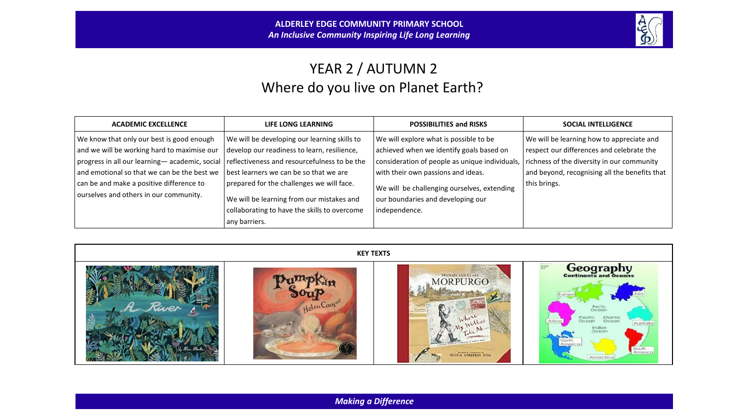

# YEAR 2 / AUTUMN 2 Where do you live on Planet Earth?

| <b>ACADEMIC EXCELLENCE</b>                                                                                                                                                                                                           | <b>LIFE LONG LEARNING</b>                                                                                                                                                                                                          | <b>POSSIBILITIES and RISKS</b>                                                                                                                                                                                            | <b>SOCIAL INTELLIGENCE</b>                                                                                                                                                                            |
|--------------------------------------------------------------------------------------------------------------------------------------------------------------------------------------------------------------------------------------|------------------------------------------------------------------------------------------------------------------------------------------------------------------------------------------------------------------------------------|---------------------------------------------------------------------------------------------------------------------------------------------------------------------------------------------------------------------------|-------------------------------------------------------------------------------------------------------------------------------------------------------------------------------------------------------|
| We know that only our best is good enough<br>and we will be working hard to maximise our<br>progress in all our learning-academic, social<br>and emotional so that we can be the best we<br>can be and make a positive difference to | We will be developing our learning skills to<br>develop our readiness to learn, resilience,<br>reflectiveness and resourcefulness to be the<br>best learners we can be so that we are<br>prepared for the challenges we will face. | We will explore what is possible to be<br>achieved when we identify goals based on<br>consideration of people as unique individuals,<br>with their own passions and ideas.<br>We will be challenging ourselves, extending | We will be learning how to appreciate and<br>respect our differences and celebrate the<br>richness of the diversity in our community<br>and beyond, recognising all the benefits that<br>this brings. |
| ourselves and others in our community.                                                                                                                                                                                               | We will be learning from our mistakes and<br>collaborating to have the skills to overcome<br>any barriers.                                                                                                                         | our boundaries and developing our<br>independence.                                                                                                                                                                        |                                                                                                                                                                                                       |



*Making a Difference*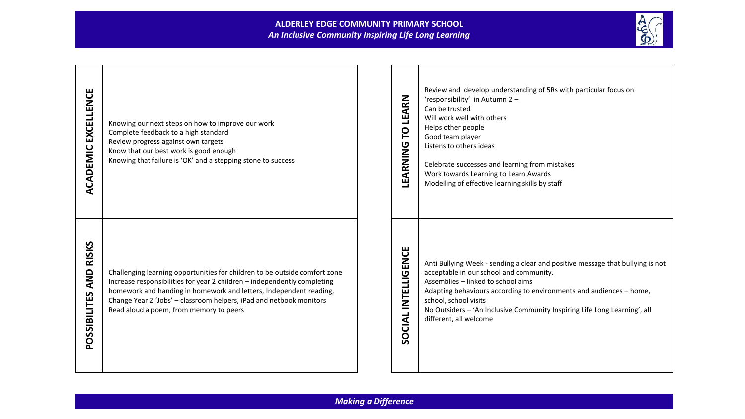### **ALDERLEY EDGE COMMUNITY PRIMARY SCHOOL** *An Inclusive Community Inspiring Life Long Learning*



| <b>ACADEMIC EXCELLENCE</b>          | Knowing our next steps on how to improve our work<br>Complete feedback to a high standard<br>Review progress against own targets<br>Know that our best work is good enough<br>Knowing that failure is 'OK' and a stepping stone to success                                                                                                     | LEARN<br><b>p</b><br>LEARNING | Review and develop understanding of 5Rs with particular focus on<br>'responsibility' in Autumn 2 -<br>Can be trusted<br>Will work well with others<br>Helps other people<br>Good team player<br>Listens to others ideas<br>Celebrate successes and learning from mistakes<br>Work towards Learning to Learn Awards<br>Modelling of effective learning skills by staff  |
|-------------------------------------|------------------------------------------------------------------------------------------------------------------------------------------------------------------------------------------------------------------------------------------------------------------------------------------------------------------------------------------------|-------------------------------|------------------------------------------------------------------------------------------------------------------------------------------------------------------------------------------------------------------------------------------------------------------------------------------------------------------------------------------------------------------------|
| <b>RISKS</b><br>AND<br>POSSIBILITES | Challenging learning opportunities for children to be outside comfort zone<br>Increase responsibilities for year 2 children - independently completing<br>homework and handing in homework and letters, Independent reading,<br>Change Year 2 'Jobs' - classroom helpers, iPad and netbook monitors<br>Read aloud a poem, from memory to peers | SOCIAL INTELLIGENCE           | Anti Bullying Week - sending a clear and positive message that bullying is not<br>acceptable in our school and community.<br>Assemblies - linked to school aims<br>Adapting behaviours according to environments and audiences - home,<br>school, school visits<br>No Outsiders - 'An Inclusive Community Inspiring Life Long Learning', all<br>different, all welcome |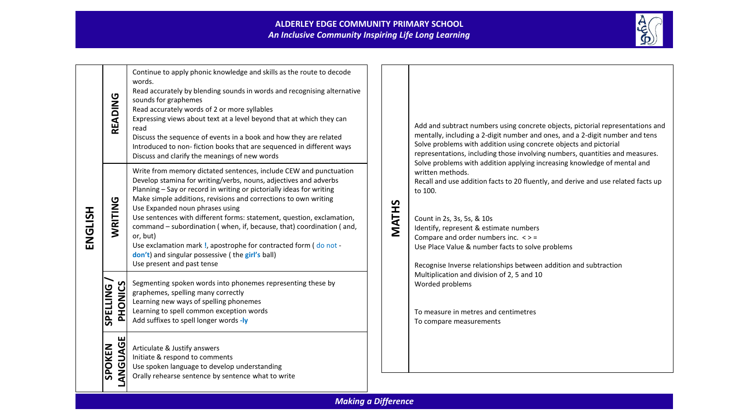

| ENGLISH | READING                             | Continue to apply phonic knowledge and skills as the route to decode<br>words.<br>Read accurately by blending sounds in words and recognising alternative<br>sounds for graphemes<br>Read accurately words of 2 or more syllables<br>Expressing views about text at a level beyond that at which they can<br>read<br>Discuss the sequence of events in a book and how they are related<br>Introduced to non-fiction books that are sequenced in different ways<br>Discuss and clarify the meanings of new words                                                                                                                        |
|---------|-------------------------------------|----------------------------------------------------------------------------------------------------------------------------------------------------------------------------------------------------------------------------------------------------------------------------------------------------------------------------------------------------------------------------------------------------------------------------------------------------------------------------------------------------------------------------------------------------------------------------------------------------------------------------------------|
|         | WRITING                             | Write from memory dictated sentences, include CEW and punctuation<br>Develop stamina for writing/verbs, nouns, adjectives and adverbs<br>Planning - Say or record in writing or pictorially ideas for writing<br>Make simple additions, revisions and corrections to own writing<br>Use Expanded noun phrases using<br>Use sentences with different forms: statement, question, exclamation,<br>command - subordination (when, if, because, that) coordination (and,<br>or, but)<br>Use exclamation mark !, apostrophe for contracted form (do not -<br>don't) and singular possessive (the girl's ball)<br>Use present and past tense |
|         | SPELLING<br><b>SOINOH</b><br>$\sim$ | Segmenting spoken words into phonemes representing these by<br>graphemes, spelling many correctly<br>Learning new ways of spelling phonemes<br>Learning to spell common exception words<br>Add suffixes to spell longer words -ly                                                                                                                                                                                                                                                                                                                                                                                                      |
|         | ш<br>UAGI<br>SPOKEN<br>Ū<br>Ź<br>द  | Articulate & Justify answers<br>Initiate & respond to comments<br>Use spoken language to develop understanding<br>Orally rehearse sentence by sentence what to write                                                                                                                                                                                                                                                                                                                                                                                                                                                                   |

Add and subtract numbers using concrete objects, pictorial representations and mentally, including a 2-digit number and ones, and a 2-digit number and tens Solve problems with addition using concrete objects and pictorial representations, including those involving numbers, quantities and measures. Solve problems with addition applying increasing knowledge of mental and written methods.

Recall and use addition facts to 20 fluently, and derive and use related facts up to 100.

**MATHS**

Count in 2s, 3s, 5s, & 10s Identify, represent & estimate numbers Compare and order numbers inc.  $\langle \rangle$  = Use Place Value & number facts to solve problems

Recognise Inverse relationships between addition and subtraction Multiplication and division of 2, 5 and 10 Worded problems

To measure in metres and centimetres To compare measurements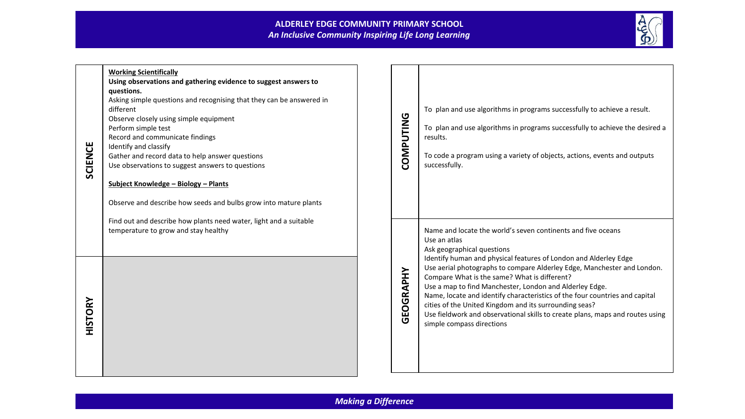## **ALDERLEY EDGE COMMUNITY PRIMARY SCHOOL** *An Inclusive Community Inspiring Life Long Learning*



| <b>SCIENCE</b> | <b>Working Scientifically</b><br>Using observations and gathering evidence to suggest answers to<br>questions.<br>Asking simple questions and recognising that they can be answered in<br>different<br>Observe closely using simple equipment<br>Perform simple test<br>Record and communicate findings<br>Identify and classify<br>Gather and record data to help answer questions<br>Use observations to suggest answers to questions<br>Subject Knowledge - Biology - Plants<br>Observe and describe how seeds and bulbs grow into mature plants | COMPUTING | To plan and use algorithms in programs successfully to achieve a result.<br>To plan and use algorithms in programs successfully to achieve the desired a<br>results.<br>To code a program using a variety of objects, actions, events and outputs<br>successfully.                                                                                                                                                                                                                                                                                                                                                          |
|----------------|-----------------------------------------------------------------------------------------------------------------------------------------------------------------------------------------------------------------------------------------------------------------------------------------------------------------------------------------------------------------------------------------------------------------------------------------------------------------------------------------------------------------------------------------------------|-----------|-----------------------------------------------------------------------------------------------------------------------------------------------------------------------------------------------------------------------------------------------------------------------------------------------------------------------------------------------------------------------------------------------------------------------------------------------------------------------------------------------------------------------------------------------------------------------------------------------------------------------------|
| <b>HISTORY</b> | Find out and describe how plants need water, light and a suitable<br>temperature to grow and stay healthy                                                                                                                                                                                                                                                                                                                                                                                                                                           | GEOGRAPHY | Name and locate the world's seven continents and five oceans<br>Use an atlas<br>Ask geographical questions<br>Identify human and physical features of London and Alderley Edge<br>Use aerial photographs to compare Alderley Edge, Manchester and London.<br>Compare What is the same? What is different?<br>Use a map to find Manchester, London and Alderley Edge.<br>Name, locate and identify characteristics of the four countries and capital<br>cities of the United Kingdom and its surrounding seas?<br>Use fieldwork and observational skills to create plans, maps and routes using<br>simple compass directions |